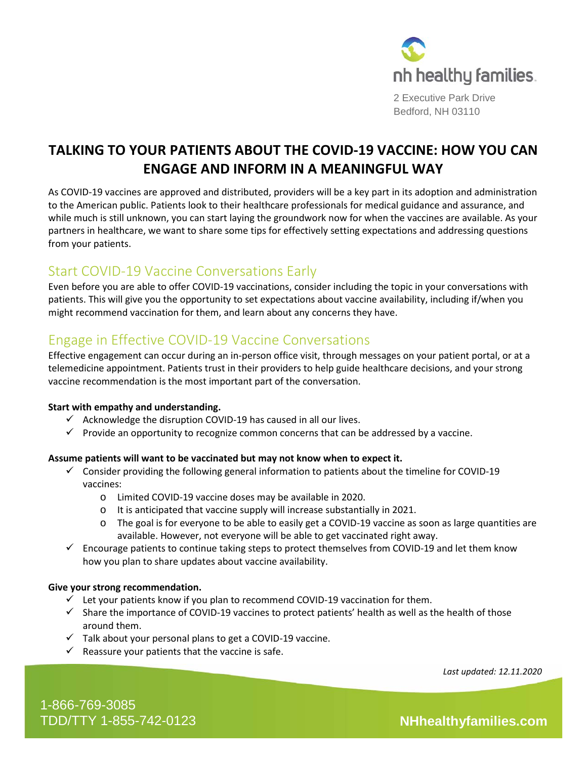

2 Executive Park Drive Bedford, NH 03110

# **TALKING TO YOUR PATIENTS ABOUT THE COVID-19 VACCINE: HOW YOU CAN ENGAGE AND INFORM IN A MEANINGFUL WAY**

As COVID-19 vaccines are approved and distributed, providers will be a key part in its adoption and administration to the American public. Patients look to their healthcare professionals for medical guidance and assurance, and while much is still unknown, you can start laying the groundwork now for when the vaccines are available. As your partners in healthcare, we want to share some tips for effectively setting expectations and addressing questions from your patients.

# Start COVID-19 Vaccine Conversations Early

Even before you are able to offer COVID-19 vaccinations, consider including the topic in your conversations with patients. This will give you the opportunity to set expectations about vaccine availability, including if/when you might recommend vaccination for them, and learn about any concerns they have.

# Engage in Effective COVID-19 Vaccine Conversations

Effective engagement can occur during an in-person office visit, through messages on your patient portal, or at a telemedicine appointment. Patients trust in their providers to help guide healthcare decisions, and your strong vaccine recommendation is the most important part of the conversation.

## **Start with empathy and understanding.**

- $\checkmark$  Acknowledge the disruption COVID-19 has caused in all our lives.
- $\checkmark$  Provide an opportunity to recognize common concerns that can be addressed by a vaccine.

#### **Assume patients will want to be vaccinated but may not know when to expect it.**

- $\checkmark$  Consider providing the following general information to patients about the timeline for COVID-19 vaccines:
	- o Limited COVID-19 vaccine doses may be available in 2020.
	- o It is anticipated that vaccine supply will increase substantially in 2021.
	- o The goal is for everyone to be able to easily get a COVID-19 vaccine as soon as large quantities are available. However, not everyone will be able to get vaccinated right away.
- $\checkmark$  Encourage patients to continue taking steps to protect themselves from COVID-19 and let them know how you plan to share updates about vaccine availability.

#### **Give your strong recommendation.**

- $\checkmark$  Let your patients know if you plan to recommend COVID-19 vaccination for them.
- $\checkmark$  Share the importance of COVID-19 vaccines to protect patients' health as well as the health of those around them.
- $\checkmark$  Talk about your personal plans to get a COVID-19 vaccine.
- $\checkmark$  Reassure your patients that the vaccine is safe.

*Last updated: 12.11.2020*

1-866-769-3085 TDD/TTY 1-855-742-0123 **NHhealthyfamilies.com**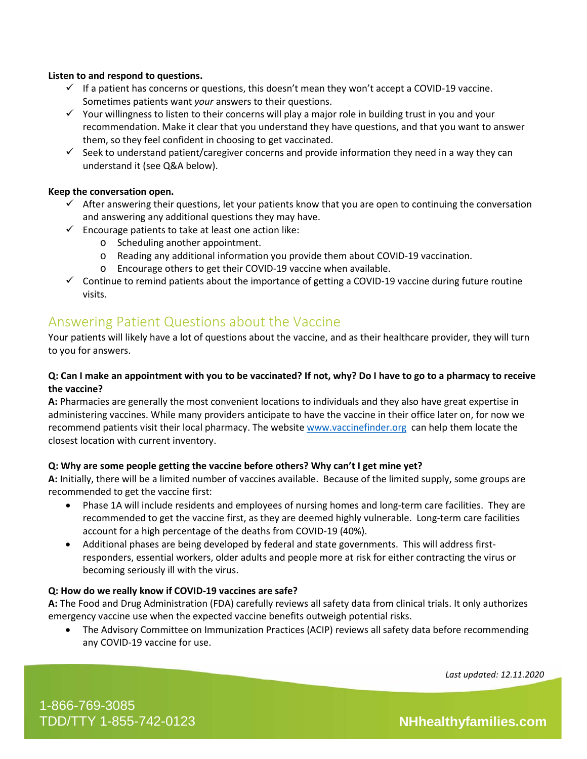#### **Listen to and respond to questions.**

- $\checkmark$  If a patient has concerns or questions, this doesn't mean they won't accept a COVID-19 vaccine. Sometimes patients want *your* answers to their questions.
- $\checkmark$  Your willingness to listen to their concerns will play a major role in building trust in you and your recommendation. Make it clear that you understand they have questions, and that you want to answer them, so they feel confident in choosing to get vaccinated.
- $\checkmark$  Seek to understand patient/caregiver concerns and provide information they need in a way they can understand it (see Q&A below).

#### **Keep the conversation open.**

- $\checkmark$  After answering their questions, let your patients know that you are open to continuing the conversation and answering any additional questions they may have.
- $\checkmark$  Encourage patients to take at least one action like:
	- o Scheduling another appointment.
	- o Reading any additional information you provide them about COVID-19 vaccination.
	- o Encourage others to get their COVID-19 vaccine when available.
- $\checkmark$  Continue to remind patients about the importance of getting a COVID-19 vaccine during future routine visits.

## Answering Patient Questions about the Vaccine

Your patients will likely have a lot of questions about the vaccine, and as their healthcare provider, they will turn to you for answers.

#### **Q: Can I make an appointment with you to be vaccinated? If not, why? Do I have to go to a pharmacy to receive the vaccine?**

**A:** Pharmacies are generally the most convenient locations to individuals and they also have great expertise in administering vaccines. While many providers anticipate to have the vaccine in their office later on, for now we recommend patients visit their local pharmacy. The website [www.vaccinefinder.org](http://www.vaccinefinder.org/) can help them locate the closest location with current inventory.

#### **Q: Why are some people getting the vaccine before others? Why can't I get mine yet?**

**A:** Initially, there will be a limited number of vaccines available. Because of the limited supply, some groups are recommended to get the vaccine first:

- Phase 1A will include residents and employees of nursing homes and long-term care facilities. They are recommended to get the vaccine first, as they are deemed highly vulnerable. Long-term care facilities account for a high percentage of the deaths from COVID-19 (40%).
- Additional phases are being developed by federal and state governments. This will address firstresponders, essential workers, older adults and people more at risk for either contracting the virus or becoming seriously ill with the virus.

#### **Q: How do we really know if COVID-19 vaccines are safe?**

**A:** The Food and Drug Administration (FDA) carefully reviews all safety data from clinical trials. It only authorizes emergency vaccine use when the expected vaccine benefits outweigh potential risks.

• The Advisory Committee on Immunization Practices (ACIP) reviews all safety data before recommending any COVID-19 vaccine for use.

*Last updated: 12.11.2020*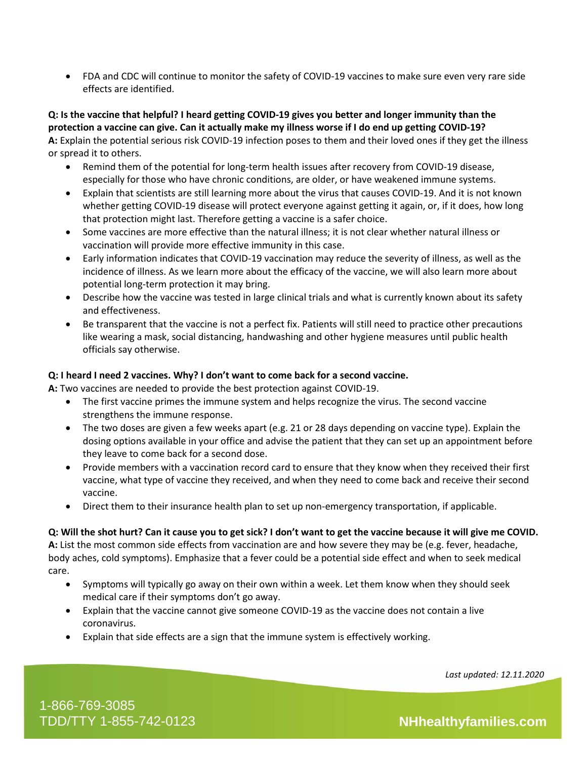• FDA and CDC will continue to monitor the safety of COVID-19 vaccines to make sure even very rare side effects are identified.

### **Q: Is the vaccine that helpful? I heard getting COVID-19 gives you better and longer immunity than the protection a vaccine can give. Can it actually make my illness worse if I do end up getting COVID-19?**

**A:** Explain the potential serious risk COVID-19 infection poses to them and their loved ones if they get the illness or spread it to others.

- Remind them of the potential for long-term health issues after recovery from COVID-19 disease, especially for those who have chronic conditions, are older, or have weakened immune systems.
- Explain that scientists are still learning more about the virus that causes COVID-19. And it is not known whether getting COVID-19 disease will protect everyone against getting it again, or, if it does, how long that protection might last. Therefore getting a vaccine is a safer choice.
- Some vaccines are more effective than the natural illness; it is not clear whether natural illness or vaccination will provide more effective immunity in this case.
- Early information indicates that COVID-19 vaccination may reduce the severity of illness, as well as the incidence of illness. As we learn more about the efficacy of the vaccine, we will also learn more about potential long-term protection it may bring.
- Describe how the vaccine was tested in large clinical trials and what is currently known about its safety and effectiveness.
- Be transparent that the vaccine is not a perfect fix. Patients will still need to practice other precautions like wearing a mask, social distancing, handwashing and other hygiene measures until public health officials say otherwise.

## **Q: I heard I need 2 vaccines. Why? I don't want to come back for a second vaccine.**

**A:** Two vaccines are needed to provide the best protection against COVID-19.

- The first vaccine primes the immune system and helps recognize the virus. The second vaccine strengthens the immune response.
- The two doses are given a few weeks apart (e.g. 21 or 28 days depending on vaccine type). Explain the dosing options available in your office and advise the patient that they can set up an appointment before they leave to come back for a second dose.
- Provide members with a vaccination record card to ensure that they know when they received their first vaccine, what type of vaccine they received, and when they need to come back and receive their second vaccine.
- Direct them to their insurance health plan to set up non-emergency transportation, if applicable.

## **Q: Will the shot hurt? Can it cause you to get sick? I don't want to get the vaccine because it will give me COVID.**

**A:** List the most common side effects from vaccination are and how severe they may be (e.g. fever, headache, body aches, cold symptoms). Emphasize that a fever could be a potential side effect and when to seek medical care.

- Symptoms will typically go away on their own within a week. Let them know when they should seek medical care if their symptoms don't go away.
- Explain that the vaccine cannot give someone COVID-19 as the vaccine does not contain a live coronavirus.
- Explain that side effects are a sign that the immune system is effectively working.

*Last updated: 12.11.2020*